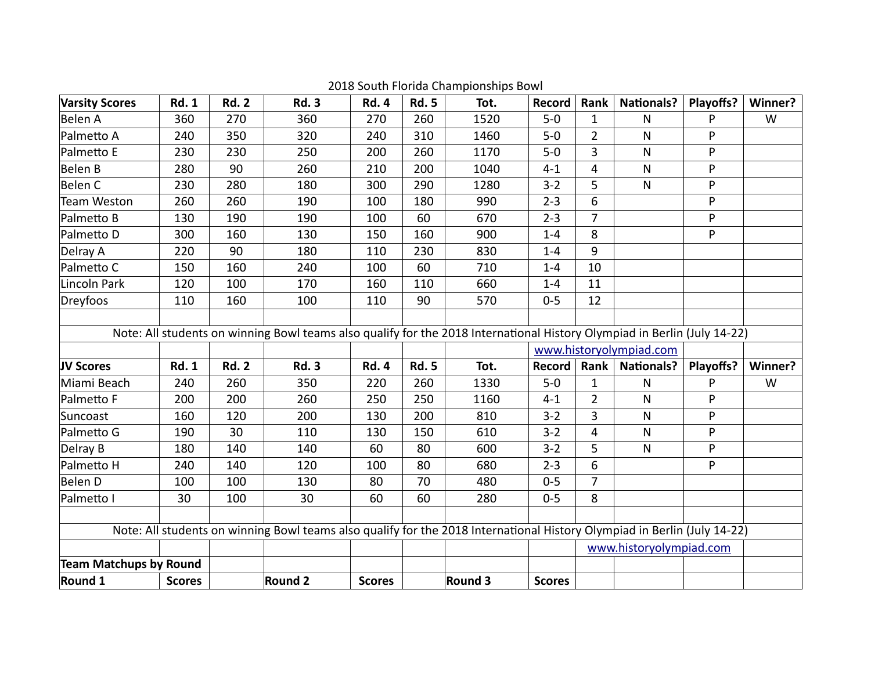| <b>Varsity Scores</b>                                                                                                    | <b>Rd. 1</b>  | <b>Rd. 2</b> | <b>Rd. 3</b>                                                                                                             | <b>Rd. 4</b>  | <b>Rd. 5</b> | Tot.    | <b>Record</b>           | Rank           | <b>Nationals?</b>       | Playoffs? | Winner? |
|--------------------------------------------------------------------------------------------------------------------------|---------------|--------------|--------------------------------------------------------------------------------------------------------------------------|---------------|--------------|---------|-------------------------|----------------|-------------------------|-----------|---------|
| Belen A                                                                                                                  | 360           | 270          | 360                                                                                                                      | 270           | 260          | 1520    | $5-0$                   | $\mathbf{1}$   | N                       | P         | W       |
| Palmetto A                                                                                                               | 240           | 350          | 320                                                                                                                      | 240           | 310          | 1460    | $5 - 0$                 | $\overline{2}$ | $\mathsf{N}$            | P         |         |
| Palmetto E                                                                                                               | 230           | 230          | 250                                                                                                                      | 200           | 260          | 1170    | $5-0$                   | 3              | $\mathsf{N}$            | P         |         |
| Belen B                                                                                                                  | 280           | 90           | 260                                                                                                                      | 210           | 200          | 1040    | $4 - 1$                 | 4              | $\mathsf{N}$            | P         |         |
| Belen C                                                                                                                  | 230           | 280          | 180                                                                                                                      | 300           | 290          | 1280    | $3 - 2$                 | 5              | $\mathsf{N}$            | P         |         |
| Team Weston                                                                                                              | 260           | 260          | 190                                                                                                                      | 100           | 180          | 990     | $2 - 3$                 | 6              |                         | P         |         |
| Palmetto B                                                                                                               | 130           | 190          | 190                                                                                                                      | 100           | 60           | 670     | $2 - 3$                 | $\overline{7}$ |                         | P         |         |
| Palmetto D                                                                                                               | 300           | 160          | 130                                                                                                                      | 150           | 160          | 900     | $1 - 4$                 | 8              |                         | P         |         |
| Delray A                                                                                                                 | 220           | 90           | 180                                                                                                                      | 110           | 230          | 830     | $1 - 4$                 | 9              |                         |           |         |
| Palmetto C                                                                                                               | 150           | 160          | 240                                                                                                                      | 100           | 60           | 710     | $1 - 4$                 | 10             |                         |           |         |
| Lincoln Park                                                                                                             | 120           | 100          | 170                                                                                                                      | 160           | 110          | 660     | $1 - 4$                 | 11             |                         |           |         |
| Dreyfoos                                                                                                                 | 110           | 160          | 100                                                                                                                      | 110           | 90           | 570     | $0 - 5$                 | 12             |                         |           |         |
|                                                                                                                          |               |              |                                                                                                                          |               |              |         |                         |                |                         |           |         |
|                                                                                                                          |               |              | Note: All students on winning Bowl teams also qualify for the 2018 International History Olympiad in Berlin (July 14-22) |               |              |         |                         |                |                         |           |         |
|                                                                                                                          |               |              |                                                                                                                          |               |              |         | www.historyolympiad.com |                |                         |           |         |
| JV Scores                                                                                                                | <b>Rd. 1</b>  | <b>Rd. 2</b> | <b>Rd. 3</b>                                                                                                             | <b>Rd. 4</b>  | <b>Rd. 5</b> | Tot.    | Record                  | Rank $ $       | <b>Nationals?</b>       | Playoffs? | Winner? |
| Miami Beach                                                                                                              | 240           | 260          | 350                                                                                                                      | 220           | 260          | 1330    | $5-0$                   | $\mathbf{1}$   | $\mathsf{N}$            | P         | W       |
| Palmetto F                                                                                                               | 200           | 200          | 260                                                                                                                      | 250           | 250          | 1160    | $4 - 1$                 | $\overline{2}$ | $\overline{N}$          | P         |         |
| Suncoast                                                                                                                 | 160           | 120          | 200                                                                                                                      | 130           | 200          | 810     | $3 - 2$                 | 3              | $\mathsf{N}$            | P         |         |
| Palmetto G                                                                                                               | 190           | 30           | 110                                                                                                                      | 130           | 150          | 610     | $3 - 2$                 | 4              | $\mathsf{N}$            | P         |         |
| Delray B                                                                                                                 | 180           | 140          | 140                                                                                                                      | 60            | 80           | 600     | $3 - 2$                 | 5              | $\mathsf{N}$            | P         |         |
| Palmetto H                                                                                                               | 240           | 140          | 120                                                                                                                      | 100           | 80           | 680     | $2 - 3$                 | 6              |                         | P         |         |
| Belen D                                                                                                                  | 100           | 100          | 130                                                                                                                      | 80            | 70           | 480     | $0 - 5$                 | 7              |                         |           |         |
| Palmetto I                                                                                                               | 30            | 100          | 30                                                                                                                       | 60            | 60           | 280     | $0 - 5$                 | 8              |                         |           |         |
|                                                                                                                          |               |              |                                                                                                                          |               |              |         |                         |                |                         |           |         |
| Note: All students on winning Bowl teams also qualify for the 2018 International History Olympiad in Berlin (July 14-22) |               |              |                                                                                                                          |               |              |         |                         |                |                         |           |         |
|                                                                                                                          |               |              |                                                                                                                          |               |              |         |                         |                | www.historyolympiad.com |           |         |
| <b>Team Matchups by Round</b>                                                                                            |               |              |                                                                                                                          |               |              |         |                         |                |                         |           |         |
| Round 1                                                                                                                  | <b>Scores</b> |              | <b>Round 2</b>                                                                                                           | <b>Scores</b> |              | Round 3 | <b>Scores</b>           |                |                         |           |         |

2018 South Florida Championships Bowl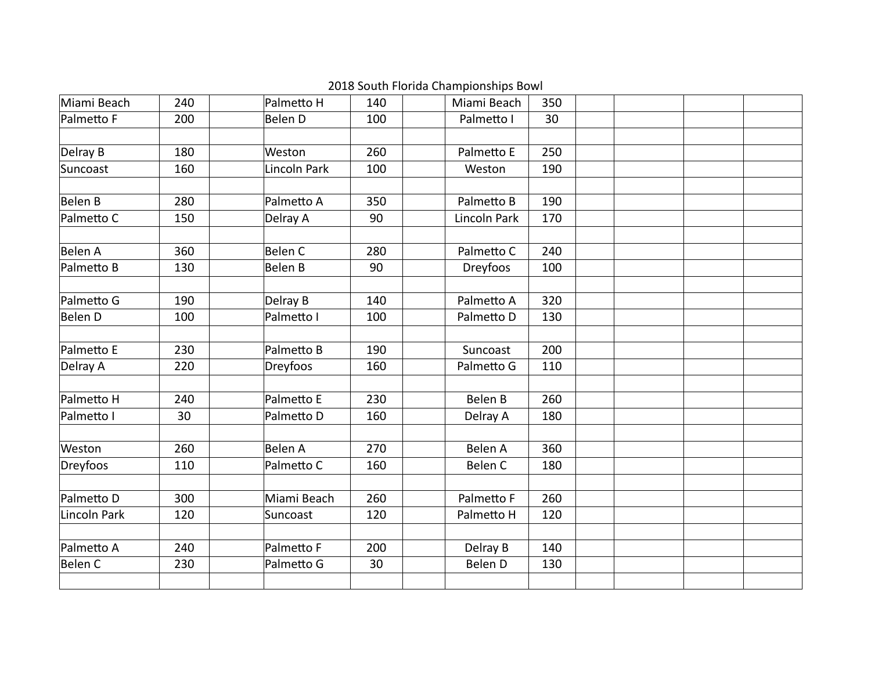| Miami Beach  | 240 | Palmetto H     | 140 | Miami Beach  | 350 |  |  |
|--------------|-----|----------------|-----|--------------|-----|--|--|
| Palmetto F   | 200 | Belen D        | 100 | Palmetto I   | 30  |  |  |
|              |     |                |     |              |     |  |  |
| Delray B     | 180 | Weston         | 260 | Palmetto E   | 250 |  |  |
| Suncoast     | 160 | Lincoln Park   | 100 | Weston       | 190 |  |  |
|              |     |                |     |              |     |  |  |
| Belen B      | 280 | Palmetto A     | 350 | Palmetto B   | 190 |  |  |
| Palmetto C   | 150 | Delray A       | 90  | Lincoln Park | 170 |  |  |
|              |     |                |     |              |     |  |  |
| Belen A      | 360 | <b>Belen C</b> | 280 | Palmetto C   | 240 |  |  |
| Palmetto B   | 130 | Belen B        | 90  | Dreyfoos     | 100 |  |  |
| Palmetto G   | 190 | Delray B       | 140 | Palmetto A   | 320 |  |  |
| Belen D      | 100 | Palmetto I     | 100 | Palmetto D   | 130 |  |  |
|              |     |                |     |              |     |  |  |
| Palmetto E   | 230 | Palmetto B     | 190 | Suncoast     | 200 |  |  |
| Delray A     | 220 | Dreyfoos       | 160 | Palmetto G   | 110 |  |  |
|              |     |                |     |              |     |  |  |
| Palmetto H   | 240 | Palmetto E     | 230 | Belen B      | 260 |  |  |
| Palmetto I   | 30  | Palmetto D     | 160 | Delray A     | 180 |  |  |
|              |     |                |     |              |     |  |  |
| Weston       | 260 | <b>Belen A</b> | 270 | Belen A      | 360 |  |  |
| Dreyfoos     | 110 | Palmetto C     | 160 | Belen C      | 180 |  |  |
| Palmetto D   | 300 | Miami Beach    | 260 | Palmetto F   | 260 |  |  |
| Lincoln Park | 120 | Suncoast       | 120 | Palmetto H   | 120 |  |  |
|              |     |                |     |              |     |  |  |
| Palmetto A   | 240 | Palmetto F     | 200 | Delray B     | 140 |  |  |
| Belen C      | 230 | Palmetto G     | 30  | Belen D      | 130 |  |  |
|              |     |                |     |              |     |  |  |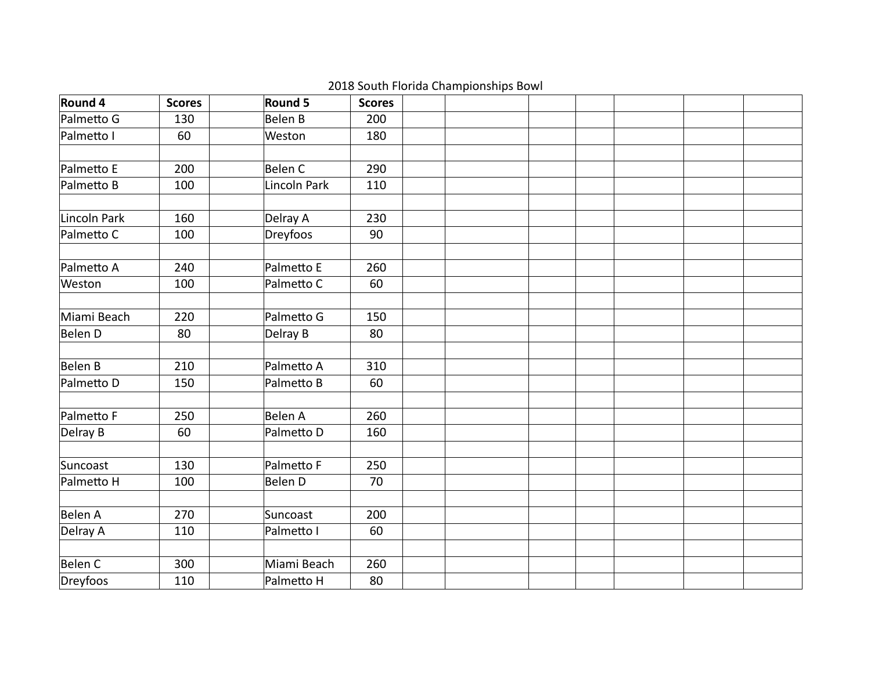| Round 4      | <b>Scores</b> | Round 5        | <b>Scores</b> |  |  |  |
|--------------|---------------|----------------|---------------|--|--|--|
| Palmetto G   | 130           | <b>Belen B</b> | 200           |  |  |  |
| Palmetto I   | 60            | Weston         | 180           |  |  |  |
|              |               |                |               |  |  |  |
| Palmetto E   | 200           | Belen C        | 290           |  |  |  |
| Palmetto B   | 100           | Lincoln Park   | 110           |  |  |  |
| Lincoln Park | 160           | Delray A       | 230           |  |  |  |
| Palmetto C   | 100           | Dreyfoos       | 90            |  |  |  |
|              |               |                |               |  |  |  |
| Palmetto A   | 240           | Palmetto E     | 260           |  |  |  |
| Weston       | 100           | Palmetto C     | 60            |  |  |  |
|              |               |                |               |  |  |  |
| Miami Beach  | 220           | Palmetto G     | 150           |  |  |  |
| Belen D      | 80            | Delray B       | 80            |  |  |  |
|              |               |                |               |  |  |  |
| Belen B      | 210           | Palmetto A     | 310           |  |  |  |
| Palmetto D   | 150           | Palmetto B     | 60            |  |  |  |
| Palmetto F   | 250           | <b>Belen A</b> | 260           |  |  |  |
|              |               |                |               |  |  |  |
| Delray B     | 60            | Palmetto D     | 160           |  |  |  |
| Suncoast     | 130           | Palmetto F     | 250           |  |  |  |
| Palmetto H   | 100           | Belen D        | 70            |  |  |  |
|              |               |                |               |  |  |  |
| Belen A      | 270           | Suncoast       | 200           |  |  |  |
| Delray A     | 110           | Palmetto I     | 60            |  |  |  |
|              |               |                |               |  |  |  |
| Belen C      | 300           | Miami Beach    | 260           |  |  |  |
| Dreyfoos     | 110           | Palmetto H     | 80            |  |  |  |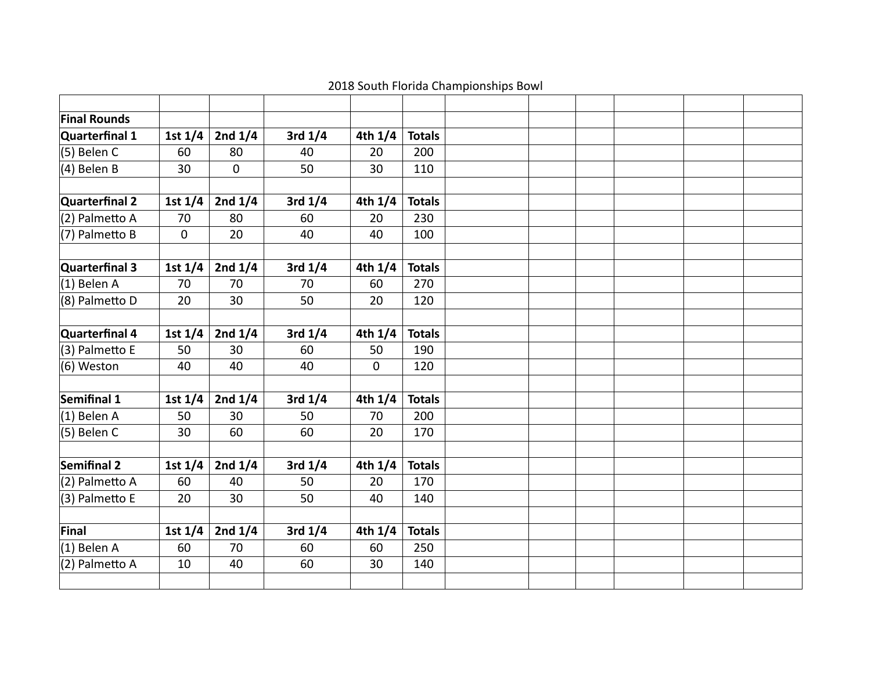| <b>Final Rounds</b> |           |             |           |           |               |  |  |  |
|---------------------|-----------|-------------|-----------|-----------|---------------|--|--|--|
| Quarterfinal 1      | 1st $1/4$ | 2nd $1/4$   | 3rd $1/4$ | 4th $1/4$ | <b>Totals</b> |  |  |  |
| (5) Belen C         | 60        | 80          | 40        | 20        | 200           |  |  |  |
| (4) Belen B         | 30        | $\mathbf 0$ | 50        | 30        | 110           |  |  |  |
|                     |           |             |           |           |               |  |  |  |
| Quarterfinal 2      | 1st $1/4$ | 2nd $1/4$   | 3rd $1/4$ | 4th $1/4$ | <b>Totals</b> |  |  |  |
| (2) Palmetto A      | 70        | 80          | 60        | 20        | 230           |  |  |  |
| (7) Palmetto B      | 0         | 20          | 40        | 40        | 100           |  |  |  |
|                     |           |             |           |           |               |  |  |  |
| Quarterfinal 3      | 1st $1/4$ | 2nd $1/4$   | 3rd $1/4$ | 4th $1/4$ | <b>Totals</b> |  |  |  |
| $(1)$ Belen A       | 70        | 70          | 70        | 60        | 270           |  |  |  |
| (8) Palmetto D      | 20        | 30          | 50        | 20        | 120           |  |  |  |
|                     |           |             |           |           |               |  |  |  |
| Quarterfinal 4      | 1st $1/4$ | 2nd $1/4$   | 3rd $1/4$ | 4th $1/4$ | <b>Totals</b> |  |  |  |
| (3) Palmetto E      | 50        | 30          | 60        | 50        | 190           |  |  |  |
| (6) Weston          | 40        | 40          | 40        | 0         | 120           |  |  |  |
|                     |           |             |           |           |               |  |  |  |
| Semifinal 1         | 1st $1/4$ | 2nd $1/4$   | 3rd $1/4$ | 4th $1/4$ | <b>Totals</b> |  |  |  |
| (1) Belen A         | 50        | 30          | 50        | 70        | 200           |  |  |  |
| (5) Belen C         | 30        | 60          | 60        | 20        | 170           |  |  |  |
|                     |           |             |           |           |               |  |  |  |
| Semifinal 2         | 1st $1/4$ | 2nd $1/4$   | 3rd $1/4$ | 4th $1/4$ | <b>Totals</b> |  |  |  |
| (2) Palmetto A      | 60        | 40          | 50        | 20        | 170           |  |  |  |
| (3) Palmetto E      | 20        | 30          | 50        | 40        | 140           |  |  |  |
|                     |           |             |           |           |               |  |  |  |
| Final               | 1st $1/4$ | 2nd $1/4$   | 3rd $1/4$ | 4th $1/4$ | <b>Totals</b> |  |  |  |
| (1) Belen A         | 60        | 70          | 60        | 60        | 250           |  |  |  |
| (2) Palmetto A      | 10        | 40          | 60        | 30        | 140           |  |  |  |
|                     |           |             |           |           |               |  |  |  |